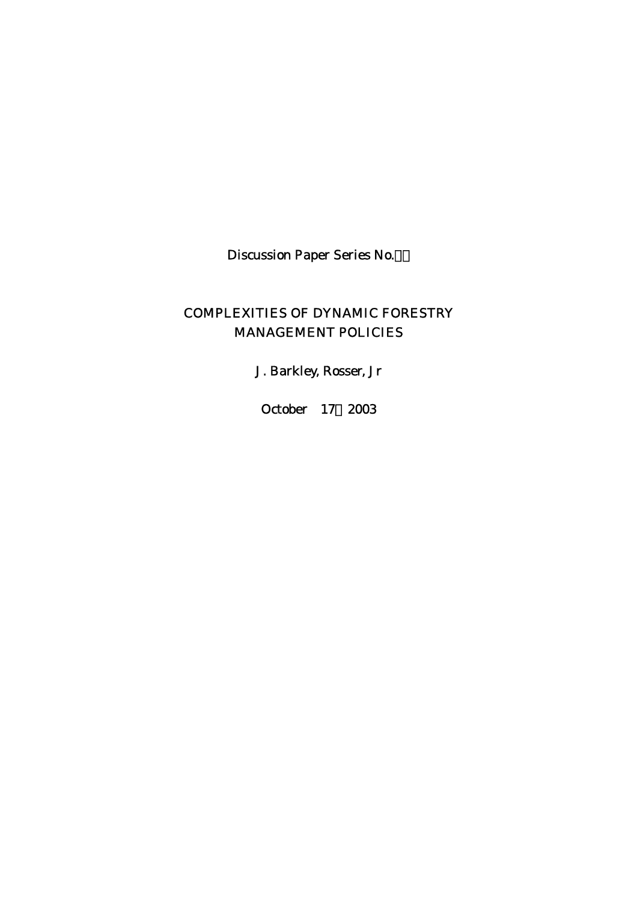Discussion Paper Series No.

# COMPLEXITIES OF DYNAMIC FORESTRY MANAGEMENT POLICIES

J. Barkley, Rosser, Jr

October 17 2003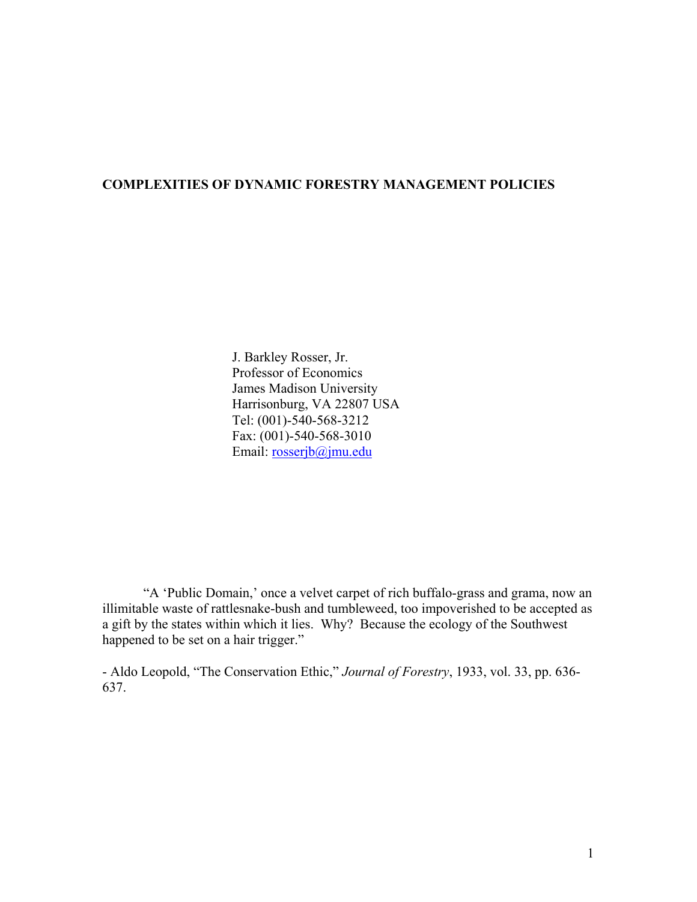# **COMPLEXITIES OF DYNAMIC FORESTRY MANAGEMENT POLICIES**

 J. Barkley Rosser, Jr. Professor of Economics James Madison University Harrisonburg, VA 22807 USA Tel: (001)-540-568-3212 Fax: (001)-540-568-3010 Email: [rosserjb@jmu.edu](mailto:rosserjb@jmu.edu)

"A 'Public Domain,' once a velvet carpet of rich buffalo-grass and grama, now an illimitable waste of rattlesnake-bush and tumbleweed, too impoverished to be accepted as a gift by the states within which it lies. Why? Because the ecology of the Southwest happened to be set on a hair trigger."

- Aldo Leopold, "The Conservation Ethic," *Journal of Forestry*, 1933, vol. 33, pp. 636- 637.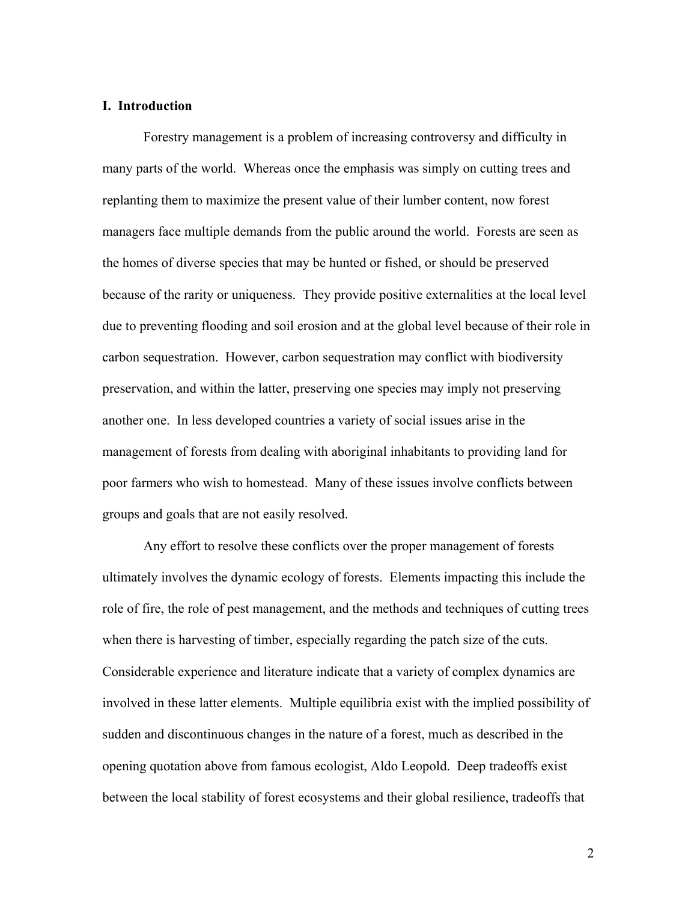## **I. Introduction**

Forestry management is a problem of increasing controversy and difficulty in many parts of the world. Whereas once the emphasis was simply on cutting trees and replanting them to maximize the present value of their lumber content, now forest managers face multiple demands from the public around the world. Forests are seen as the homes of diverse species that may be hunted or fished, or should be preserved because of the rarity or uniqueness. They provide positive externalities at the local level due to preventing flooding and soil erosion and at the global level because of their role in carbon sequestration. However, carbon sequestration may conflict with biodiversity preservation, and within the latter, preserving one species may imply not preserving another one. In less developed countries a variety of social issues arise in the management of forests from dealing with aboriginal inhabitants to providing land for poor farmers who wish to homestead. Many of these issues involve conflicts between groups and goals that are not easily resolved.

Any effort to resolve these conflicts over the proper management of forests ultimately involves the dynamic ecology of forests. Elements impacting this include the role of fire, the role of pest management, and the methods and techniques of cutting trees when there is harvesting of timber, especially regarding the patch size of the cuts. Considerable experience and literature indicate that a variety of complex dynamics are involved in these latter elements. Multiple equilibria exist with the implied possibility of sudden and discontinuous changes in the nature of a forest, much as described in the opening quotation above from famous ecologist, Aldo Leopold. Deep tradeoffs exist between the local stability of forest ecosystems and their global resilience, tradeoffs that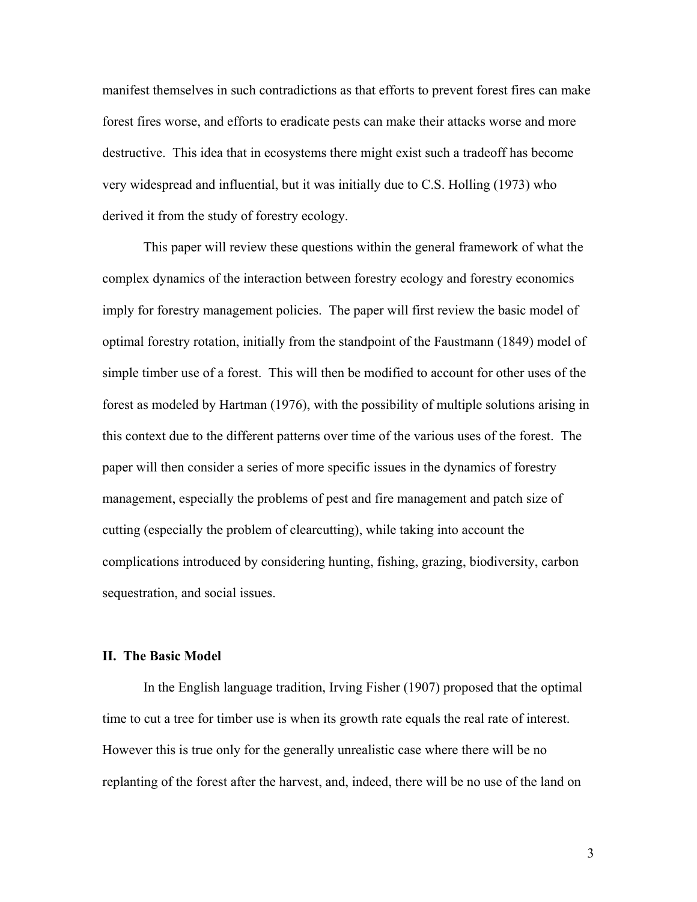manifest themselves in such contradictions as that efforts to prevent forest fires can make forest fires worse, and efforts to eradicate pests can make their attacks worse and more destructive. This idea that in ecosystems there might exist such a tradeoff has become very widespread and influential, but it was initially due to C.S. Holling (1973) who derived it from the study of forestry ecology.

This paper will review these questions within the general framework of what the complex dynamics of the interaction between forestry ecology and forestry economics imply for forestry management policies. The paper will first review the basic model of optimal forestry rotation, initially from the standpoint of the Faustmann (1849) model of simple timber use of a forest. This will then be modified to account for other uses of the forest as modeled by Hartman (1976), with the possibility of multiple solutions arising in this context due to the different patterns over time of the various uses of the forest. The paper will then consider a series of more specific issues in the dynamics of forestry management, especially the problems of pest and fire management and patch size of cutting (especially the problem of clearcutting), while taking into account the complications introduced by considering hunting, fishing, grazing, biodiversity, carbon sequestration, and social issues.

#### **II. The Basic Model**

In the English language tradition, Irving Fisher (1907) proposed that the optimal time to cut a tree for timber use is when its growth rate equals the real rate of interest. However this is true only for the generally unrealistic case where there will be no replanting of the forest after the harvest, and, indeed, there will be no use of the land on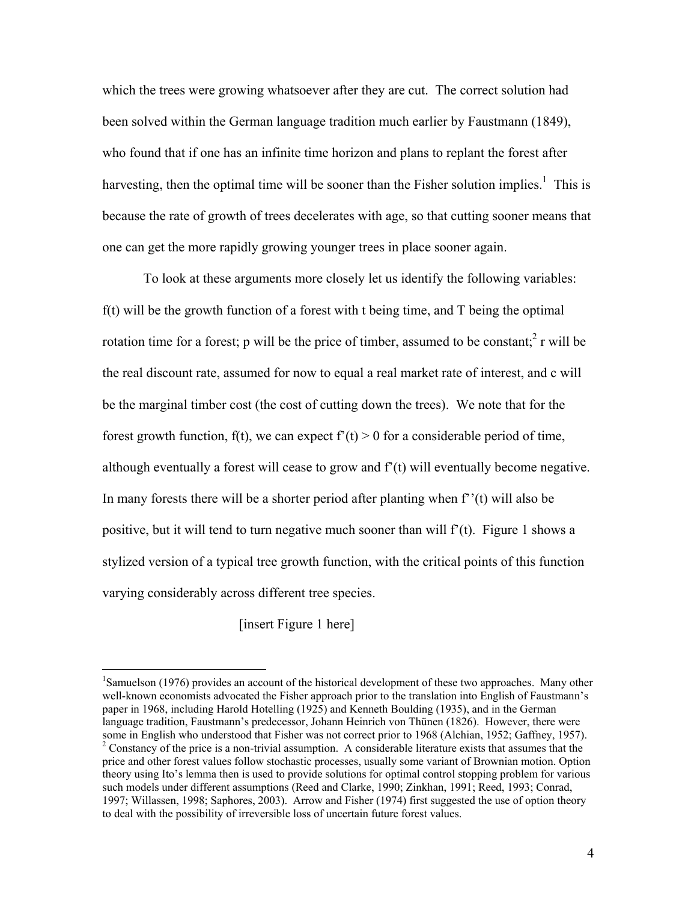which the trees were growing whatsoever after they are cut. The correct solution had been solved within the German language tradition much earlier by Faustmann (1849), who found that if one has an infinite time horizon and plans to replant the forest after harvesting, then the optimal time will be sooner than the Fisher solution implies.<sup>[1](#page-4-0)</sup> This is because the rate of growth of trees decelerates with age, so that cutting sooner means that one can get the more rapidly growing younger trees in place sooner again.

To look at these arguments more closely let us identify the following variables: f(t) will be the growth function of a forest with t being time, and T being the optimal rotation time for a forest; p will be the price of timber, assumed to be constant;<sup>2</sup> r will be the real discount rate, assumed for now to equal a real market rate of interest, and c will be the marginal timber cost (the cost of cutting down the trees). We note that for the forest growth function, f(t), we can expect  $f'(t) > 0$  for a considerable period of time, although eventually a forest will cease to grow and f'(t) will eventually become negative. In many forests there will be a shorter period after planting when f''(t) will also be positive, but it will tend to turn negative much sooner than will  $f'(t)$ . Figure 1 shows a stylized version of a typical tree growth function, with the critical points of this function varying considerably across different tree species.

[insert Figure 1 here]

<span id="page-4-1"></span><span id="page-4-0"></span><sup>&</sup>lt;sup>1</sup>Samuelson (1976) provides an account of the historical development of these two approaches. Many other well-known economists advocated the Fisher approach prior to the translation into English of Faustmann's paper in 1968, including Harold Hotelling (1925) and Kenneth Boulding (1935), and in the German language tradition, Faustmann's predecessor, Johann Heinrich von Thünen (1826). However, there were some in English who understood that Fisher was not correct prior to 1968 (Alchian, 1952; Gaffney, 1957). <sup>2</sup> Constancy of the price is a non-trivial assumption. A considerable literature exists that assumes that the price and other forest values follow stochastic processes, usually some variant of Brownian motion. Option theory using Ito's lemma then is used to provide solutions for optimal control stopping problem for various such models under different assumptions (Reed and Clarke, 1990; Zinkhan, 1991; Reed, 1993; Conrad, 1997; Willassen, 1998; Saphores, 2003). Arrow and Fisher (1974) first suggested the use of option theory to deal with the possibility of irreversible loss of uncertain future forest values.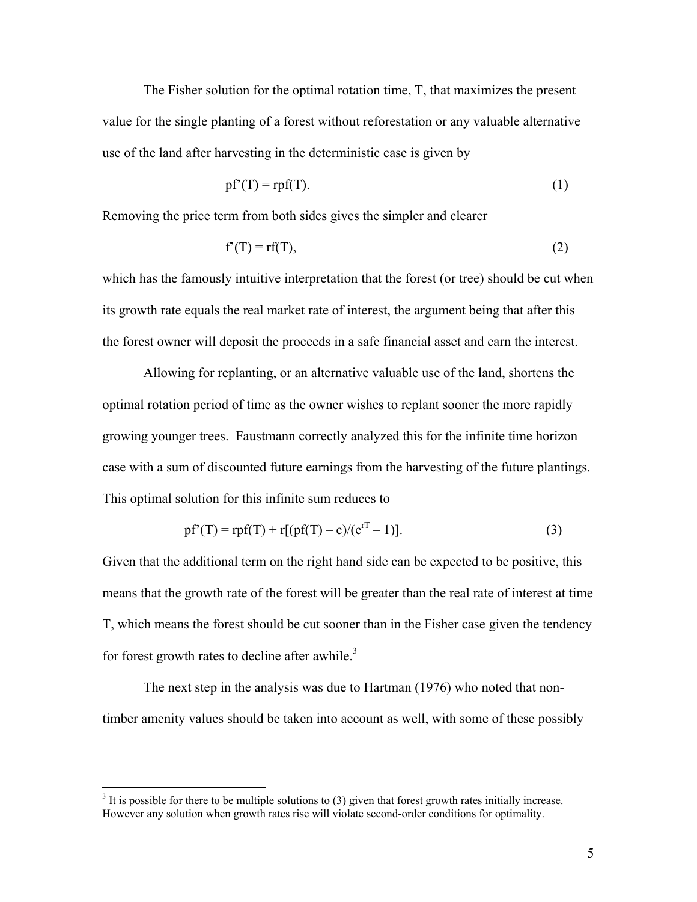The Fisher solution for the optimal rotation time, T, that maximizes the present value for the single planting of a forest without reforestation or any valuable alternative use of the land after harvesting in the deterministic case is given by

$$
pf^{(T)} = rpf(T). \tag{1}
$$

Removing the price term from both sides gives the simpler and clearer

$$
f'(T) = rf(T),
$$
\n(2)

which has the famously intuitive interpretation that the forest (or tree) should be cut when its growth rate equals the real market rate of interest, the argument being that after this the forest owner will deposit the proceeds in a safe financial asset and earn the interest.

Allowing for replanting, or an alternative valuable use of the land, shortens the optimal rotation period of time as the owner wishes to replant sooner the more rapidly growing younger trees. Faustmann correctly analyzed this for the infinite time horizon case with a sum of discounted future earnings from the harvesting of the future plantings. This optimal solution for this infinite sum reduces to

$$
pf^{(T)} = rpf(T) + r[(pf(T) - c)/(e^{rT} - 1)].
$$
\n(3)

Given that the additional term on the right hand side can be expected to be positive, this means that the growth rate of the forest will be greater than the real rate of interest at time T, which means the forest should be cut sooner than in the Fisher case given the tendency for forest growth rates to decline after awhile. $3$ 

The next step in the analysis was due to Hartman (1976) who noted that nontimber amenity values should be taken into account as well, with some of these possibly

<span id="page-5-0"></span><sup>&</sup>lt;sup>3</sup> It is possible for there to be multiple solutions to (3) given that forest growth rates initially increase. However any solution when growth rates rise will violate second-order conditions for optimality.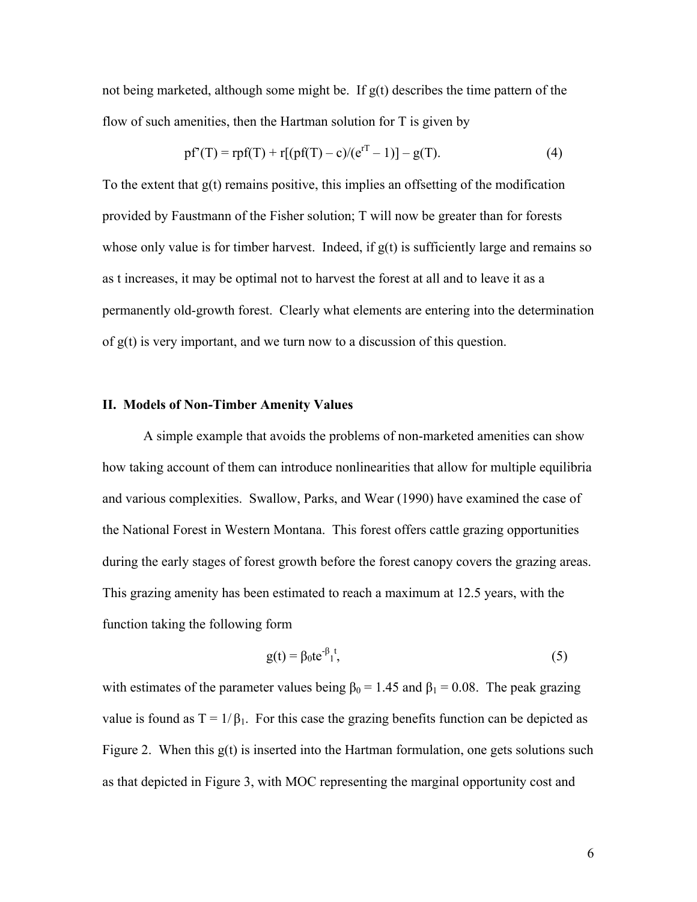not being marketed, although some might be. If g(t) describes the time pattern of the flow of such amenities, then the Hartman solution for T is given by

$$
pf^{(T)} = rpf(T) + r[(pf(T) - c)/(e^{rT} - 1)] - g(T).
$$
\n(4)

To the extent that g(t) remains positive, this implies an offsetting of the modification provided by Faustmann of the Fisher solution; T will now be greater than for forests whose only value is for timber harvest. Indeed, if  $g(t)$  is sufficiently large and remains so as t increases, it may be optimal not to harvest the forest at all and to leave it as a permanently old-growth forest. Clearly what elements are entering into the determination of g(t) is very important, and we turn now to a discussion of this question.

### **II. Models of Non-Timber Amenity Values**

A simple example that avoids the problems of non-marketed amenities can show how taking account of them can introduce nonlinearities that allow for multiple equilibria and various complexities. Swallow, Parks, and Wear (1990) have examined the case of the National Forest in Western Montana. This forest offers cattle grazing opportunities during the early stages of forest growth before the forest canopy covers the grazing areas. This grazing amenity has been estimated to reach a maximum at 12.5 years, with the function taking the following form

$$
g(t) = \beta_0 t e^{-\beta_1 t}, \tag{5}
$$

with estimates of the parameter values being  $\beta_0 = 1.45$  and  $\beta_1 = 0.08$ . The peak grazing value is found as  $T = 1/\beta_1$ . For this case the grazing benefits function can be depicted as Figure 2. When this  $g(t)$  is inserted into the Hartman formulation, one gets solutions such as that depicted in Figure 3, with MOC representing the marginal opportunity cost and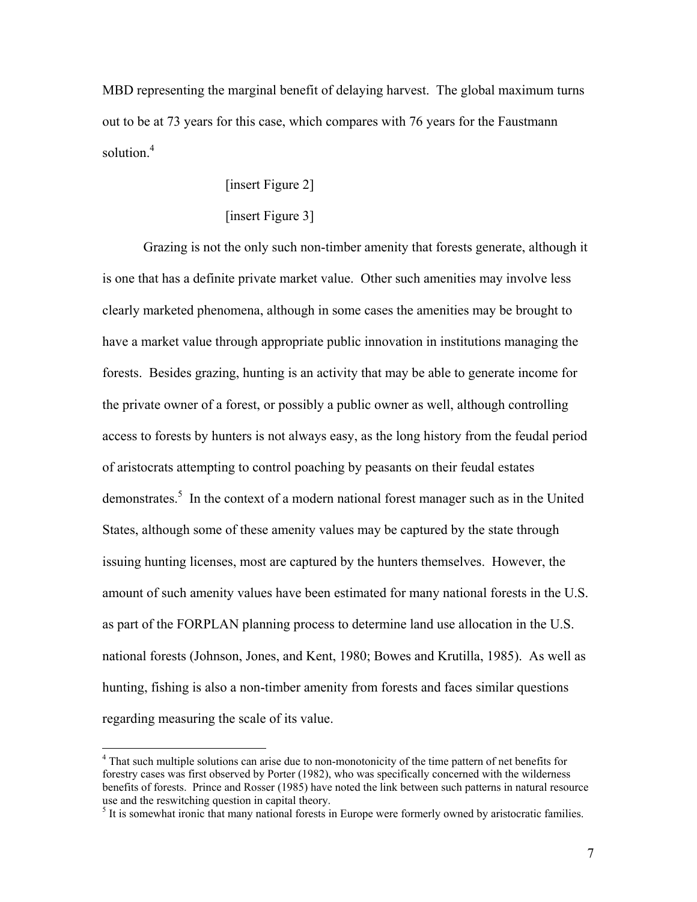MBD representing the marginal benefit of delaying harvest. The global maximum turns out to be at 73 years for this case, which compares with 76 years for the Faustmann solution.<sup>[4](#page-7-0)</sup>

## [insert Figure 2]

#### [insert Figure 3]

Grazing is not the only such non-timber amenity that forests generate, although it is one that has a definite private market value. Other such amenities may involve less clearly marketed phenomena, although in some cases the amenities may be brought to have a market value through appropriate public innovation in institutions managing the forests. Besides grazing, hunting is an activity that may be able to generate income for the private owner of a forest, or possibly a public owner as well, although controlling access to forests by hunters is not always easy, as the long history from the feudal period of aristocrats attempting to control poaching by peasants on their feudal estates demonstrates.<sup>5</sup> In the context of a modern national forest manager such as in the United States, although some of these amenity values may be captured by the state through issuing hunting licenses, most are captured by the hunters themselves. However, the amount of such amenity values have been estimated for many national forests in the U.S. as part of the FORPLAN planning process to determine land use allocation in the U.S. national forests (Johnson, Jones, and Kent, 1980; Bowes and Krutilla, 1985). As well as hunting, fishing is also a non-timber amenity from forests and faces similar questions regarding measuring the scale of its value.

<span id="page-7-0"></span> 4 That such multiple solutions can arise due to non-monotonicity of the time pattern of net benefits for forestry cases was first observed by Porter (1982), who was specifically concerned with the wilderness benefits of forests. Prince and Rosser (1985) have noted the link between such patterns in natural resource use and the reswitching question in capital theory.

<span id="page-7-1"></span> $<sup>5</sup>$  It is somewhat ironic that many national forests in Europe were formerly owned by aristocratic families.</sup>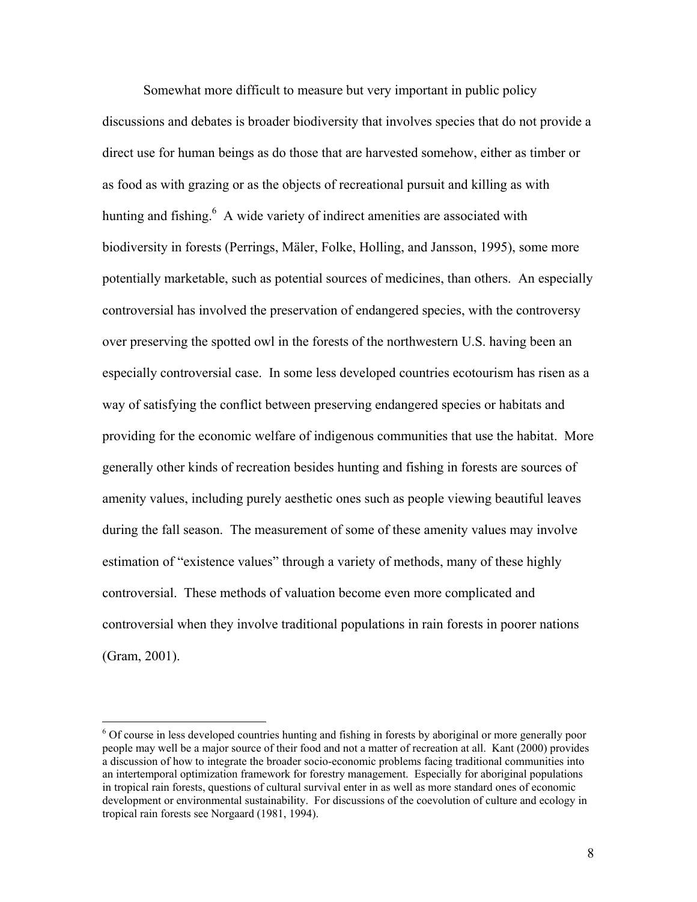Somewhat more difficult to measure but very important in public policy discussions and debates is broader biodiversity that involves species that do not provide a direct use for human beings as do those that are harvested somehow, either as timber or as food as with grazing or as the objects of recreational pursuit and killing as with hunting and fishing.<sup>[6](#page-8-0)</sup> A wide variety of indirect amenities are associated with biodiversity in forests (Perrings, Mäler, Folke, Holling, and Jansson, 1995), some more potentially marketable, such as potential sources of medicines, than others. An especially controversial has involved the preservation of endangered species, with the controversy over preserving the spotted owl in the forests of the northwestern U.S. having been an especially controversial case. In some less developed countries ecotourism has risen as a way of satisfying the conflict between preserving endangered species or habitats and providing for the economic welfare of indigenous communities that use the habitat. More generally other kinds of recreation besides hunting and fishing in forests are sources of amenity values, including purely aesthetic ones such as people viewing beautiful leaves during the fall season. The measurement of some of these amenity values may involve estimation of "existence values" through a variety of methods, many of these highly controversial. These methods of valuation become even more complicated and controversial when they involve traditional populations in rain forests in poorer nations (Gram, 2001).

<u>.</u>

<span id="page-8-0"></span><sup>&</sup>lt;sup>6</sup> Of course in less developed countries hunting and fishing in forests by aboriginal or more generally poor people may well be a major source of their food and not a matter of recreation at all. Kant (2000) provides a discussion of how to integrate the broader socio-economic problems facing traditional communities into an intertemporal optimization framework for forestry management. Especially for aboriginal populations in tropical rain forests, questions of cultural survival enter in as well as more standard ones of economic development or environmental sustainability. For discussions of the coevolution of culture and ecology in tropical rain forests see Norgaard (1981, 1994).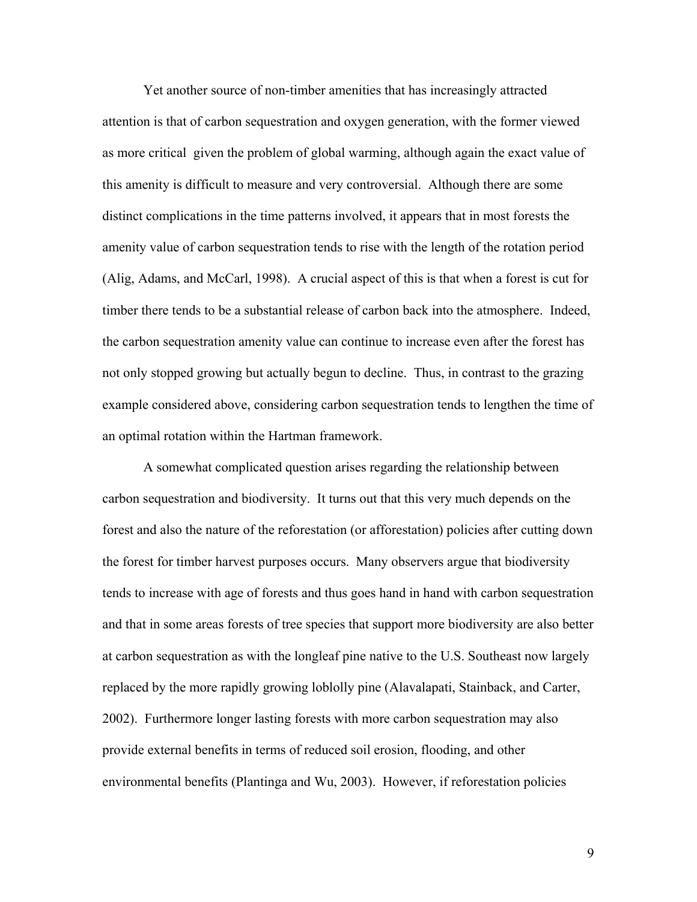Yet another source of non-timber amenities that has increasingly attracted attention is that of carbon sequestration and oxygen generation, with the former viewed as more critical given the problem of global warming, although again the exact value of this amenity is difficult to measure and very controversial. Although there are some distinct complications in the time patterns involved, it appears that in most forests the amenity value of carbon sequestration tends to rise with the length of the rotation period (Alig, Adams, and McCarl, 1998). A crucial aspect of this is that when a forest is cut for timber there tends to be a substantial release of carbon back into the atmosphere. Indeed, the carbon sequestration amenity value can continue to increase even after the forest has not only stopped growing but actually begun to decline. Thus, in contrast to the grazing example considered above, considering carbon sequestration tends to lengthen the time of an optimal rotation within the Hartman framework.

A somewhat complicated question arises regarding the relationship between carbon sequestration and biodiversity. It turns out that this very much depends on the forest and also the nature of the reforestation (or afforestation) policies after cutting down the forest for timber harvest purposes occurs. Many observers argue that biodiversity tends to increase with age of forests and thus goes hand in hand with carbon sequestration and that in some areas forests of tree species that support more biodiversity are also better at carbon sequestration as with the longleaf pine native to the U.S. Southeast now largely replaced by the more rapidly growing loblolly pine (Alavalapati, Stainback, and Carter, 2002). Furthermore longer lasting forests with more carbon sequestration may also provide external benefits in terms of reduced soil erosion, flooding, and other environmental benefits (Plantinga and Wu, 2003). However, if reforestation policies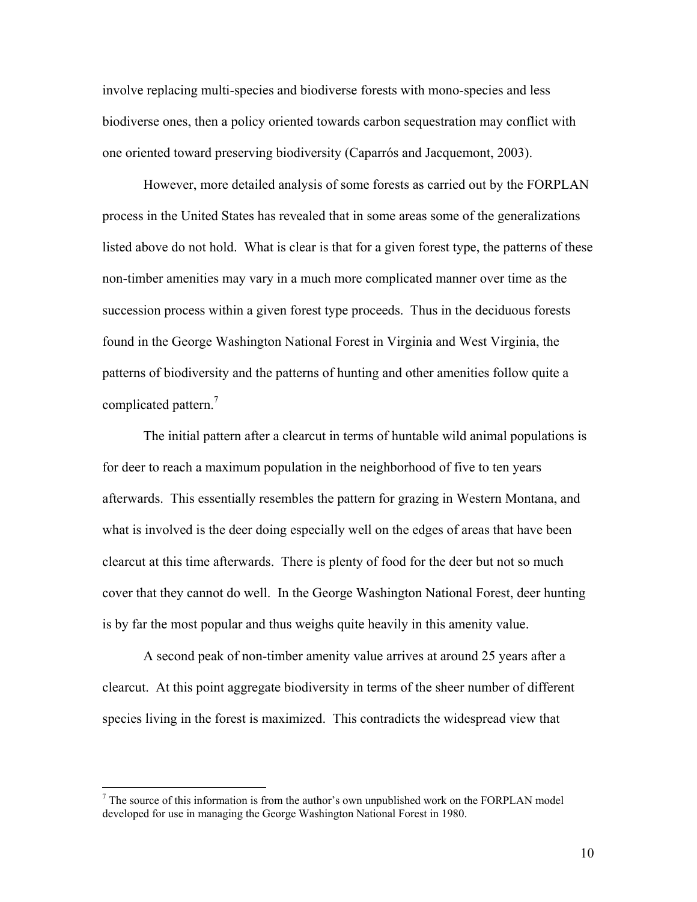involve replacing multi-species and biodiverse forests with mono-species and less biodiverse ones, then a policy oriented towards carbon sequestration may conflict with one oriented toward preserving biodiversity (Caparrós and Jacquemont, 2003).

However, more detailed analysis of some forests as carried out by the FORPLAN process in the United States has revealed that in some areas some of the generalizations listed above do not hold. What is clear is that for a given forest type, the patterns of these non-timber amenities may vary in a much more complicated manner over time as the succession process within a given forest type proceeds. Thus in the deciduous forests found in the George Washington National Forest in Virginia and West Virginia, the patterns of biodiversity and the patterns of hunting and other amenities follow quite a complicated pattern.<sup>7</sup>

The initial pattern after a clearcut in terms of huntable wild animal populations is for deer to reach a maximum population in the neighborhood of five to ten years afterwards. This essentially resembles the pattern for grazing in Western Montana, and what is involved is the deer doing especially well on the edges of areas that have been clearcut at this time afterwards. There is plenty of food for the deer but not so much cover that they cannot do well. In the George Washington National Forest, deer hunting is by far the most popular and thus weighs quite heavily in this amenity value.

A second peak of non-timber amenity value arrives at around 25 years after a clearcut. At this point aggregate biodiversity in terms of the sheer number of different species living in the forest is maximized. This contradicts the widespread view that

 $\overline{a}$ 

<span id="page-10-0"></span> $<sup>7</sup>$  The source of this information is from the author's own unpublished work on the FORPLAN model</sup> developed for use in managing the George Washington National Forest in 1980.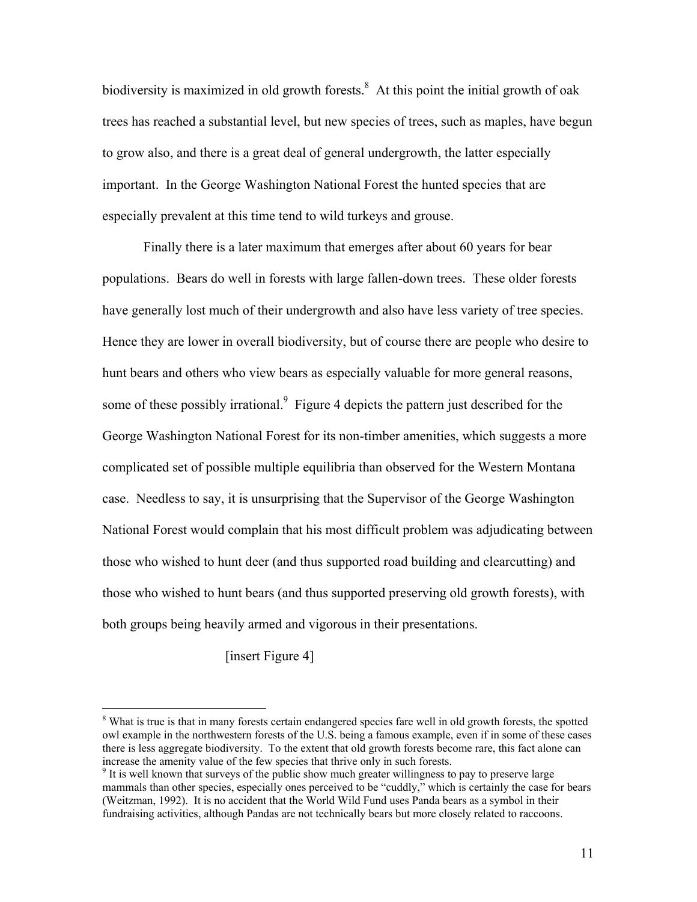biodiversity is maximized in old growth forests. $8$  At this point the initial growth of oak trees has reached a substantial level, but new species of trees, such as maples, have begun to grow also, and there is a great deal of general undergrowth, the latter especially important. In the George Washington National Forest the hunted species that are especially prevalent at this time tend to wild turkeys and grouse.

Finally there is a later maximum that emerges after about 60 years for bear populations. Bears do well in forests with large fallen-down trees. These older forests have generally lost much of their undergrowth and also have less variety of tree species. Hence they are lower in overall biodiversity, but of course there are people who desire to hunt bears and others who view bears as especially valuable for more general reasons, some of these possibly irrational.<sup>9</sup> Figure 4 depicts the pattern just described for the George Washington National Forest for its non-timber amenities, which suggests a more complicated set of possible multiple equilibria than observed for the Western Montana case. Needless to say, it is unsurprising that the Supervisor of the George Washington National Forest would complain that his most difficult problem was adjudicating between those who wished to hunt deer (and thus supported road building and clearcutting) and those who wished to hunt bears (and thus supported preserving old growth forests), with both groups being heavily armed and vigorous in their presentations.

[insert Figure 4]

<span id="page-11-0"></span><sup>&</sup>lt;sup>8</sup> What is true is that in many forests certain endangered species fare well in old growth forests, the spotted owl example in the northwestern forests of the U.S. being a famous example, even if in some of these cases there is less aggregate biodiversity. To the extent that old growth forests become rare, this fact alone can increase the amenity value of the few species that thrive only in such forests.

<span id="page-11-1"></span><sup>&</sup>lt;sup>9</sup> It is well known that surveys of the public show much greater willingness to pay to preserve large mammals than other species, especially ones perceived to be "cuddly," which is certainly the case for bears (Weitzman, 1992). It is no accident that the World Wild Fund uses Panda bears as a symbol in their fundraising activities, although Pandas are not technically bears but more closely related to raccoons.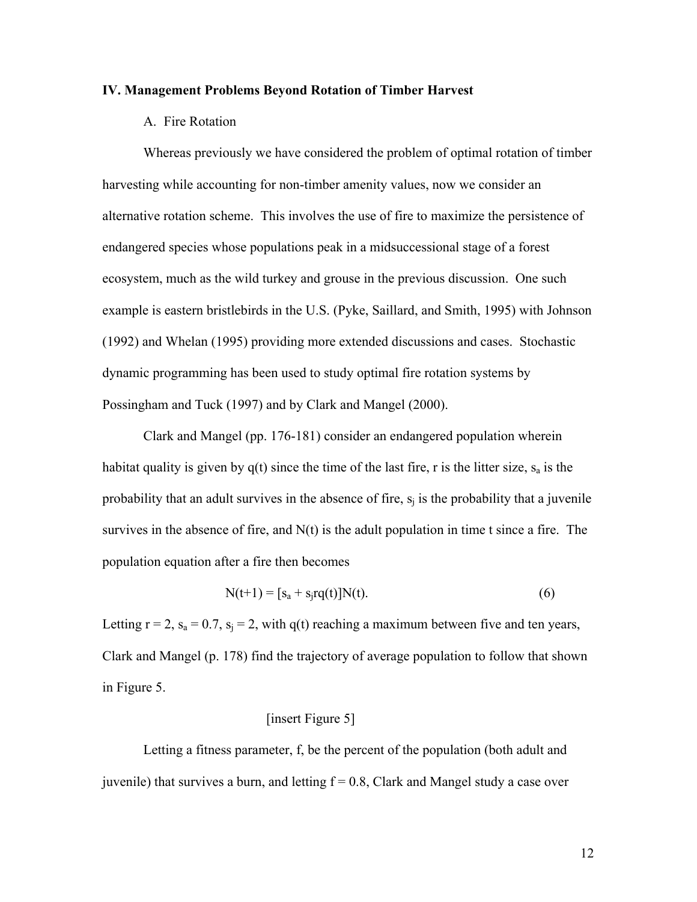#### **IV. Management Problems Beyond Rotation of Timber Harvest**

# A. Fire Rotation

Whereas previously we have considered the problem of optimal rotation of timber harvesting while accounting for non-timber amenity values, now we consider an alternative rotation scheme. This involves the use of fire to maximize the persistence of endangered species whose populations peak in a midsuccessional stage of a forest ecosystem, much as the wild turkey and grouse in the previous discussion. One such example is eastern bristlebirds in the U.S. (Pyke, Saillard, and Smith, 1995) with Johnson (1992) and Whelan (1995) providing more extended discussions and cases. Stochastic dynamic programming has been used to study optimal fire rotation systems by Possingham and Tuck (1997) and by Clark and Mangel (2000).

Clark and Mangel (pp. 176-181) consider an endangered population wherein habitat quality is given by  $q(t)$  since the time of the last fire, r is the litter size,  $s_a$  is the probability that an adult survives in the absence of fire,  $s_i$  is the probability that a juvenile survives in the absence of fire, and  $N(t)$  is the adult population in time t since a fire. The population equation after a fire then becomes

$$
N(t+1) = [s_a + s_j r q(t)] N(t).
$$
 (6)

Letting  $r = 2$ ,  $s_a = 0.7$ ,  $s_i = 2$ , with q(t) reaching a maximum between five and ten years, Clark and Mangel (p. 178) find the trajectory of average population to follow that shown in Figure 5.

### [insert Figure 5]

Letting a fitness parameter, f, be the percent of the population (both adult and juvenile) that survives a burn, and letting  $f = 0.8$ , Clark and Mangel study a case over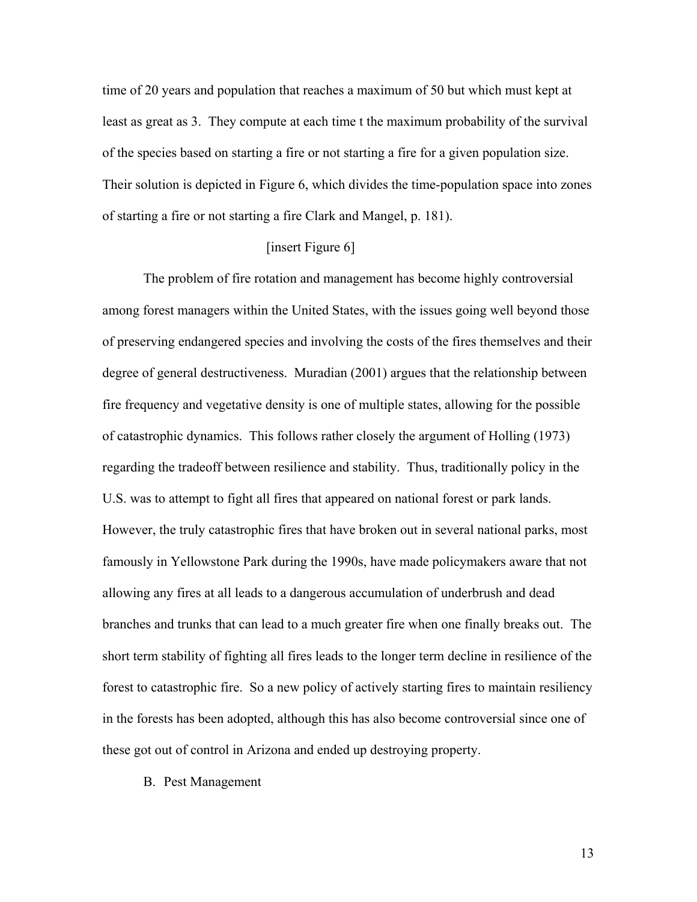time of 20 years and population that reaches a maximum of 50 but which must kept at least as great as 3. They compute at each time t the maximum probability of the survival of the species based on starting a fire or not starting a fire for a given population size. Their solution is depicted in Figure 6, which divides the time-population space into zones of starting a fire or not starting a fire Clark and Mangel, p. 181).

# [insert Figure 6]

The problem of fire rotation and management has become highly controversial among forest managers within the United States, with the issues going well beyond those of preserving endangered species and involving the costs of the fires themselves and their degree of general destructiveness. Muradian (2001) argues that the relationship between fire frequency and vegetative density is one of multiple states, allowing for the possible of catastrophic dynamics. This follows rather closely the argument of Holling (1973) regarding the tradeoff between resilience and stability. Thus, traditionally policy in the U.S. was to attempt to fight all fires that appeared on national forest or park lands. However, the truly catastrophic fires that have broken out in several national parks, most famously in Yellowstone Park during the 1990s, have made policymakers aware that not allowing any fires at all leads to a dangerous accumulation of underbrush and dead branches and trunks that can lead to a much greater fire when one finally breaks out. The short term stability of fighting all fires leads to the longer term decline in resilience of the forest to catastrophic fire. So a new policy of actively starting fires to maintain resiliency in the forests has been adopted, although this has also become controversial since one of these got out of control in Arizona and ended up destroying property.

B. Pest Management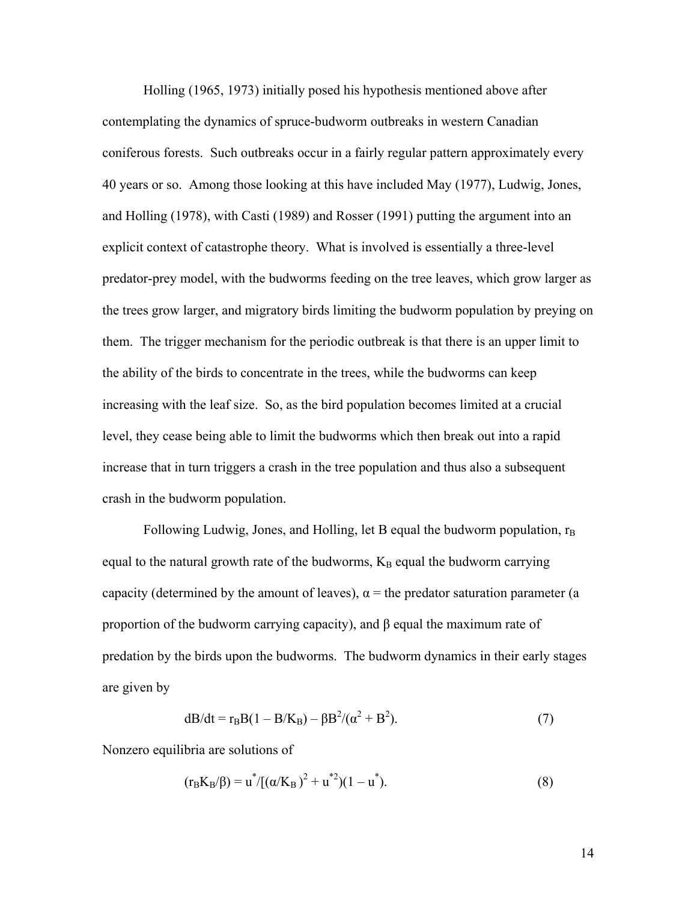Holling (1965, 1973) initially posed his hypothesis mentioned above after contemplating the dynamics of spruce-budworm outbreaks in western Canadian coniferous forests. Such outbreaks occur in a fairly regular pattern approximately every 40 years or so. Among those looking at this have included May (1977), Ludwig, Jones, and Holling (1978), with Casti (1989) and Rosser (1991) putting the argument into an explicit context of catastrophe theory. What is involved is essentially a three-level predator-prey model, with the budworms feeding on the tree leaves, which grow larger as the trees grow larger, and migratory birds limiting the budworm population by preying on them. The trigger mechanism for the periodic outbreak is that there is an upper limit to the ability of the birds to concentrate in the trees, while the budworms can keep increasing with the leaf size. So, as the bird population becomes limited at a crucial level, they cease being able to limit the budworms which then break out into a rapid increase that in turn triggers a crash in the tree population and thus also a subsequent crash in the budworm population.

Following Ludwig, Jones, and Holling, let B equal the budworm population,  $r_B$ equal to the natural growth rate of the budworms,  $K_B$  equal the budworm carrying capacity (determined by the amount of leaves),  $\alpha$  = the predator saturation parameter (a proportion of the budworm carrying capacity), and β equal the maximum rate of predation by the birds upon the budworms. The budworm dynamics in their early stages are given by

$$
dB/dt = r_B B(1 - B/K_B) - \beta B^2/(\alpha^2 + B^2). \tag{7}
$$

Nonzero equilibria are solutions of

$$
(r_B K_B/\beta) = u^* / [( \alpha / K_B )^2 + u^{*2} ) (1 - u^* ).
$$
\n(8)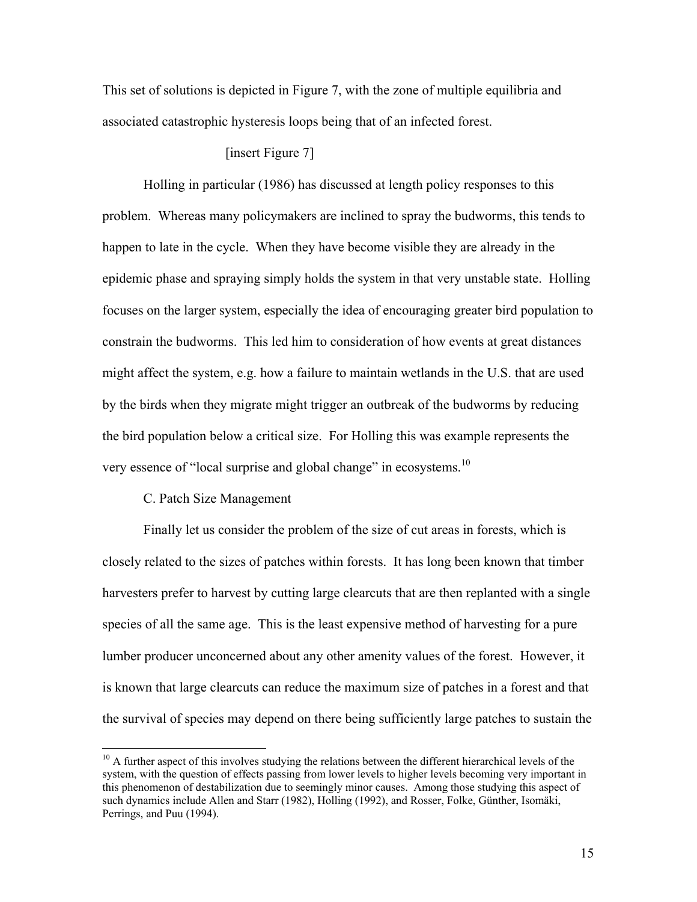This set of solutions is depicted in Figure 7, with the zone of multiple equilibria and associated catastrophic hysteresis loops being that of an infected forest.

# [insert Figure 7]

Holling in particular (1986) has discussed at length policy responses to this problem. Whereas many policymakers are inclined to spray the budworms, this tends to happen to late in the cycle. When they have become visible they are already in the epidemic phase and spraying simply holds the system in that very unstable state. Holling focuses on the larger system, especially the idea of encouraging greater bird population to constrain the budworms. This led him to consideration of how events at great distances might affect the system, e.g. how a failure to maintain wetlands in the U.S. that are used by the birds when they migrate might trigger an outbreak of the budworms by reducing the bird population below a critical size. For Holling this was example represents the very essence of "local surprise and global change" in ecosystems.<sup>[10](#page-15-0)</sup>

#### C. Patch Size Management

 $\overline{a}$ 

Finally let us consider the problem of the size of cut areas in forests, which is closely related to the sizes of patches within forests. It has long been known that timber harvesters prefer to harvest by cutting large clearcuts that are then replanted with a single species of all the same age. This is the least expensive method of harvesting for a pure lumber producer unconcerned about any other amenity values of the forest. However, it is known that large clearcuts can reduce the maximum size of patches in a forest and that the survival of species may depend on there being sufficiently large patches to sustain the

<span id="page-15-0"></span> $10<sup>10</sup>$  A further aspect of this involves studying the relations between the different hierarchical levels of the system, with the question of effects passing from lower levels to higher levels becoming very important in this phenomenon of destabilization due to seemingly minor causes. Among those studying this aspect of such dynamics include Allen and Starr (1982), Holling (1992), and Rosser, Folke, Günther, Isomäki, Perrings, and Puu (1994).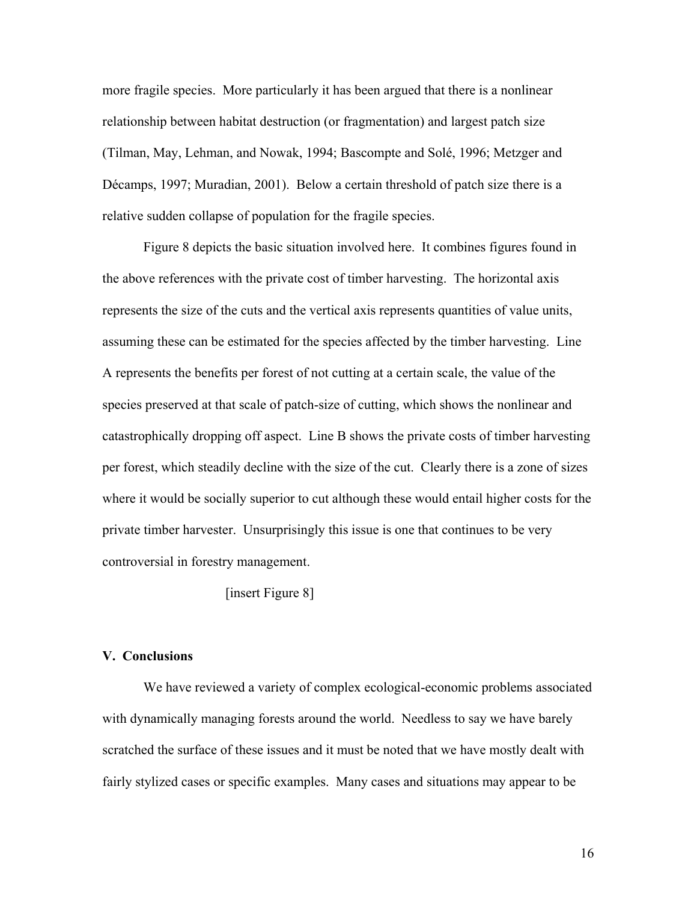more fragile species. More particularly it has been argued that there is a nonlinear relationship between habitat destruction (or fragmentation) and largest patch size (Tilman, May, Lehman, and Nowak, 1994; Bascompte and Solé, 1996; Metzger and Décamps, 1997; Muradian, 2001). Below a certain threshold of patch size there is a relative sudden collapse of population for the fragile species.

Figure 8 depicts the basic situation involved here. It combines figures found in the above references with the private cost of timber harvesting. The horizontal axis represents the size of the cuts and the vertical axis represents quantities of value units, assuming these can be estimated for the species affected by the timber harvesting. Line A represents the benefits per forest of not cutting at a certain scale, the value of the species preserved at that scale of patch-size of cutting, which shows the nonlinear and catastrophically dropping off aspect. Line B shows the private costs of timber harvesting per forest, which steadily decline with the size of the cut. Clearly there is a zone of sizes where it would be socially superior to cut although these would entail higher costs for the private timber harvester. Unsurprisingly this issue is one that continues to be very controversial in forestry management.

[insert Figure 8]

#### **V. Conclusions**

We have reviewed a variety of complex ecological-economic problems associated with dynamically managing forests around the world. Needless to say we have barely scratched the surface of these issues and it must be noted that we have mostly dealt with fairly stylized cases or specific examples. Many cases and situations may appear to be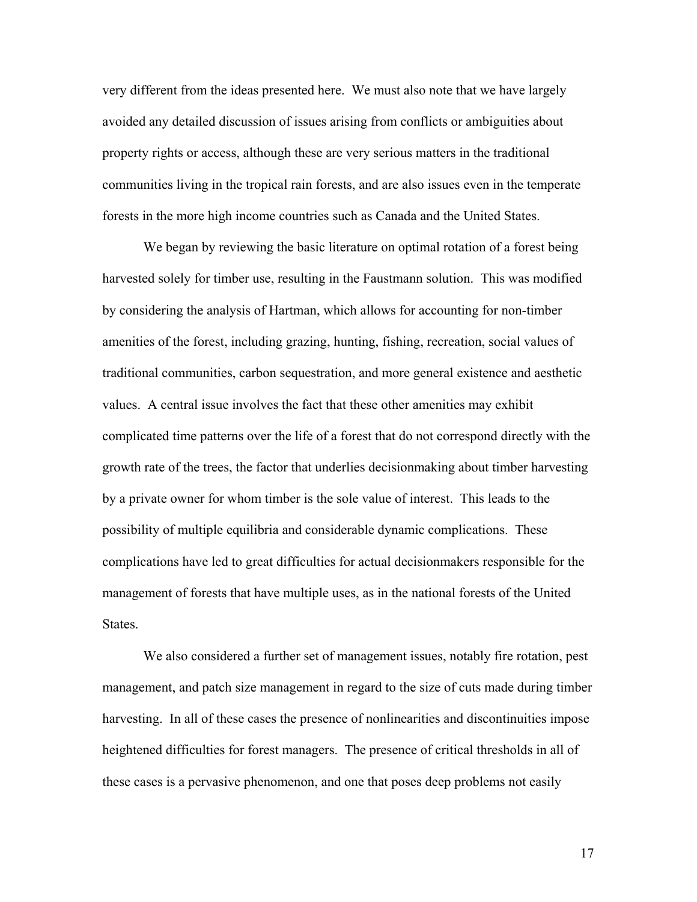very different from the ideas presented here. We must also note that we have largely avoided any detailed discussion of issues arising from conflicts or ambiguities about property rights or access, although these are very serious matters in the traditional communities living in the tropical rain forests, and are also issues even in the temperate forests in the more high income countries such as Canada and the United States.

We began by reviewing the basic literature on optimal rotation of a forest being harvested solely for timber use, resulting in the Faustmann solution. This was modified by considering the analysis of Hartman, which allows for accounting for non-timber amenities of the forest, including grazing, hunting, fishing, recreation, social values of traditional communities, carbon sequestration, and more general existence and aesthetic values. A central issue involves the fact that these other amenities may exhibit complicated time patterns over the life of a forest that do not correspond directly with the growth rate of the trees, the factor that underlies decisionmaking about timber harvesting by a private owner for whom timber is the sole value of interest. This leads to the possibility of multiple equilibria and considerable dynamic complications. These complications have led to great difficulties for actual decisionmakers responsible for the management of forests that have multiple uses, as in the national forests of the United **States**.

We also considered a further set of management issues, notably fire rotation, pest management, and patch size management in regard to the size of cuts made during timber harvesting. In all of these cases the presence of nonlinearities and discontinuities impose heightened difficulties for forest managers. The presence of critical thresholds in all of these cases is a pervasive phenomenon, and one that poses deep problems not easily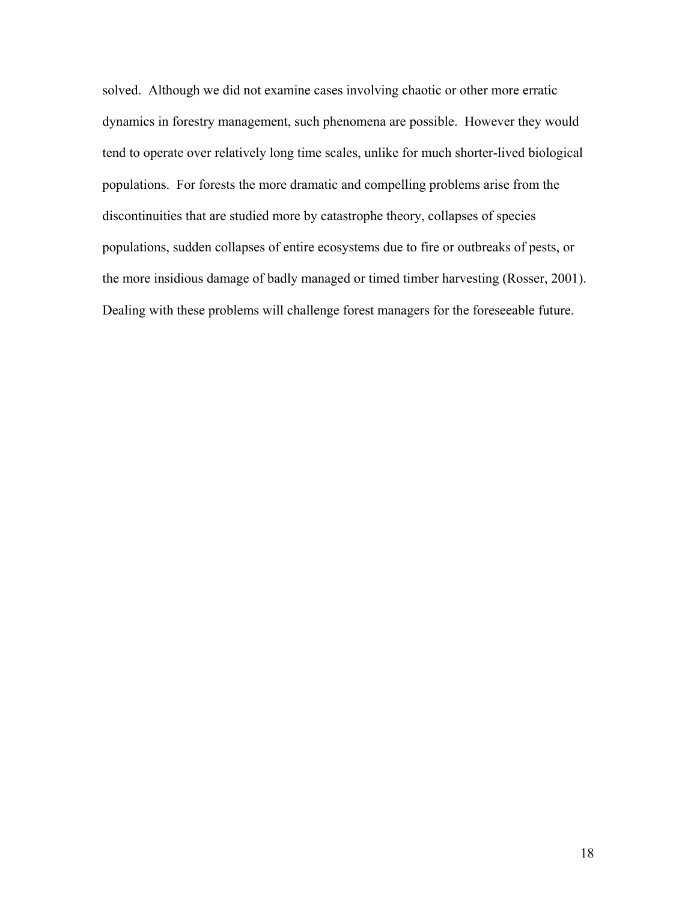solved. Although we did not examine cases involving chaotic or other more erratic dynamics in forestry management, such phenomena are possible. However they would tend to operate over relatively long time scales, unlike for much shorter-lived biological populations. For forests the more dramatic and compelling problems arise from the discontinuities that are studied more by catastrophe theory, collapses of species populations, sudden collapses of entire ecosystems due to fire or outbreaks of pests, or the more insidious damage of badly managed or timed timber harvesting (Rosser, 2001). Dealing with these problems will challenge forest managers for the foreseeable future.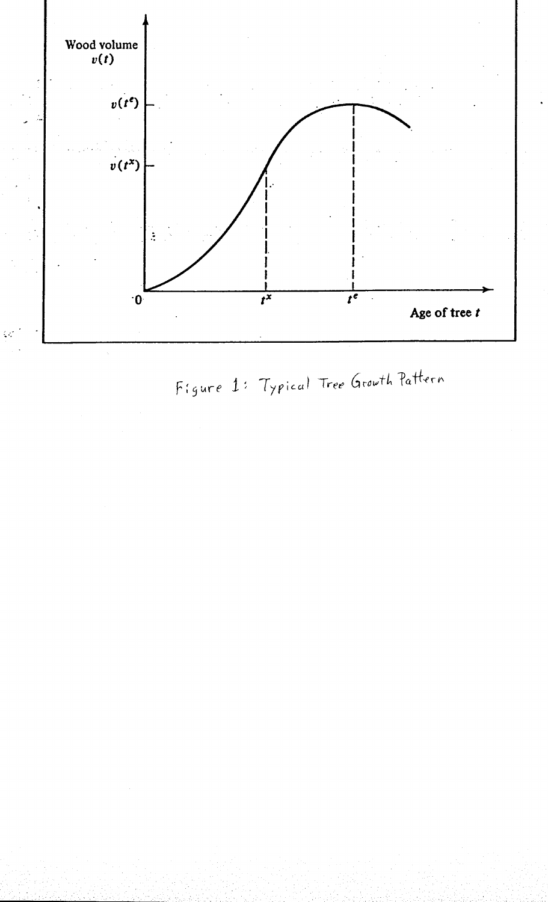

Figure 1: Typical Tree Growth Pattern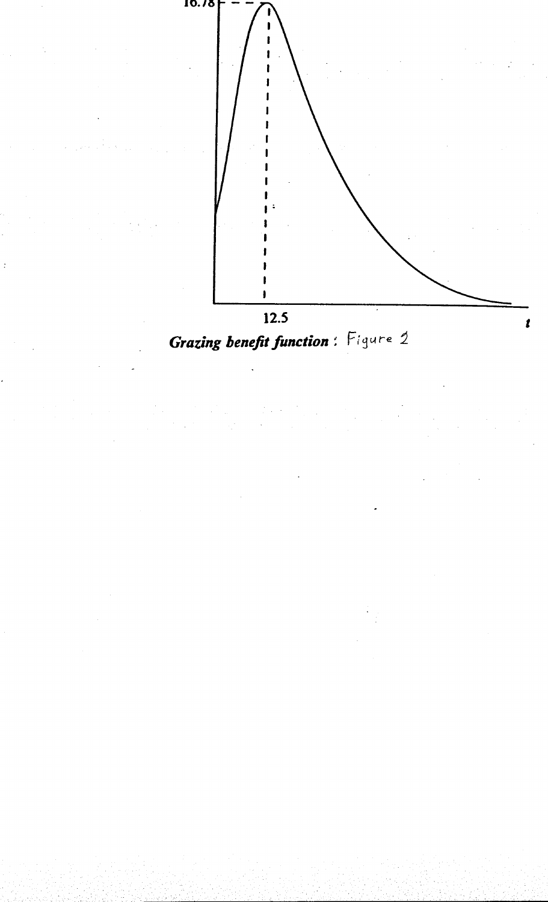

Grazing benefit function: Figure 2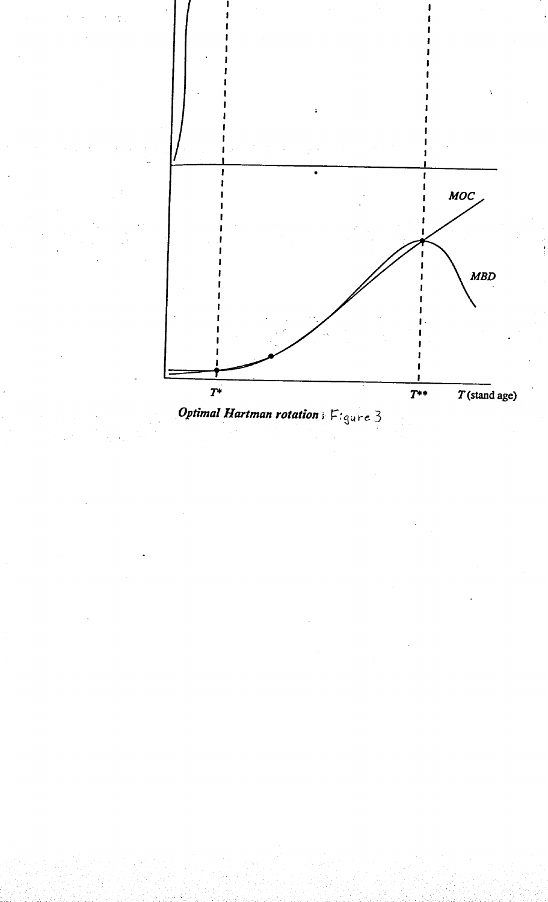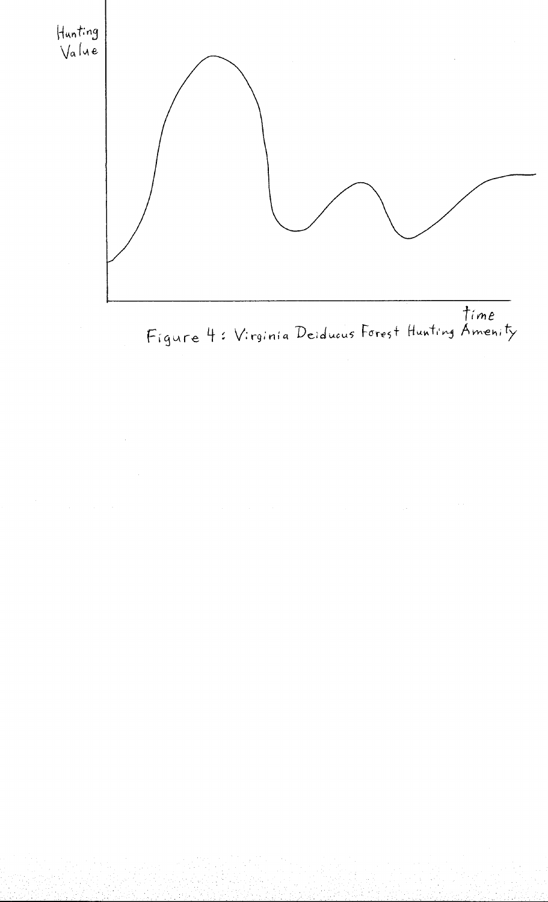

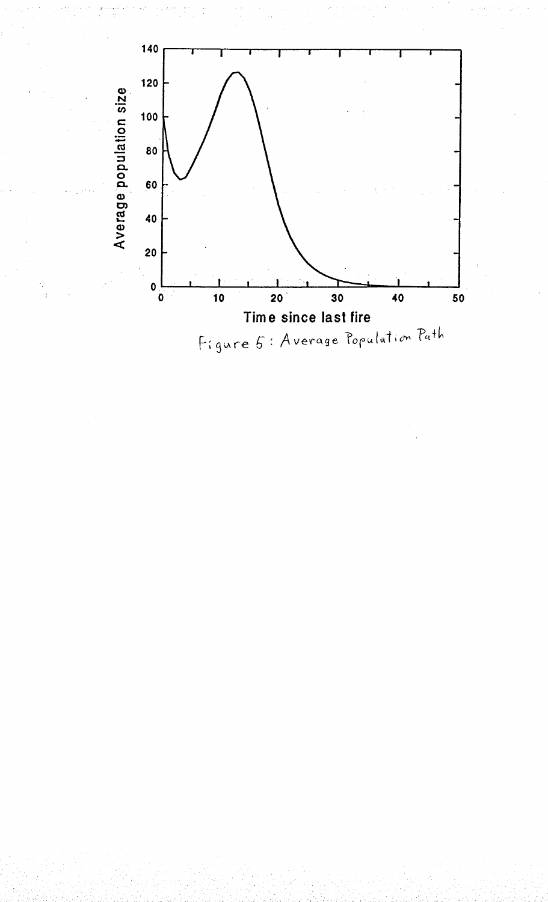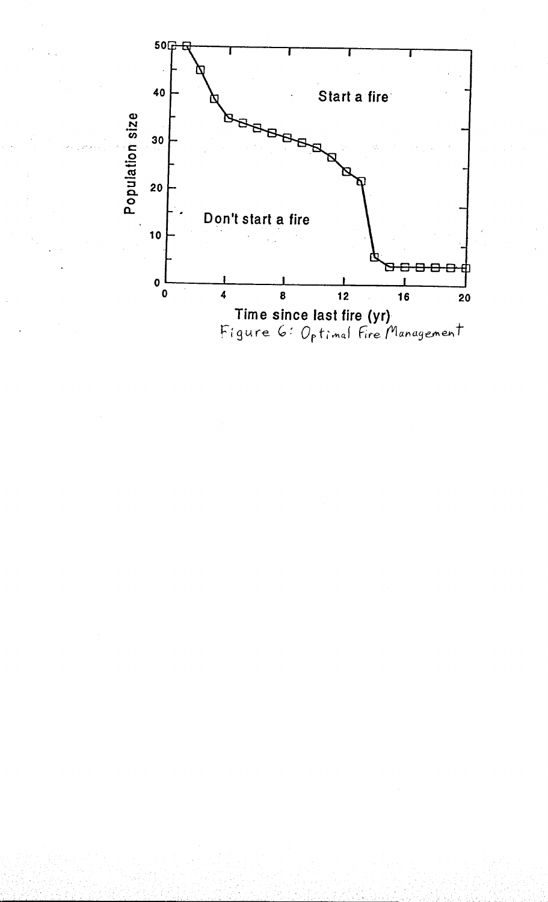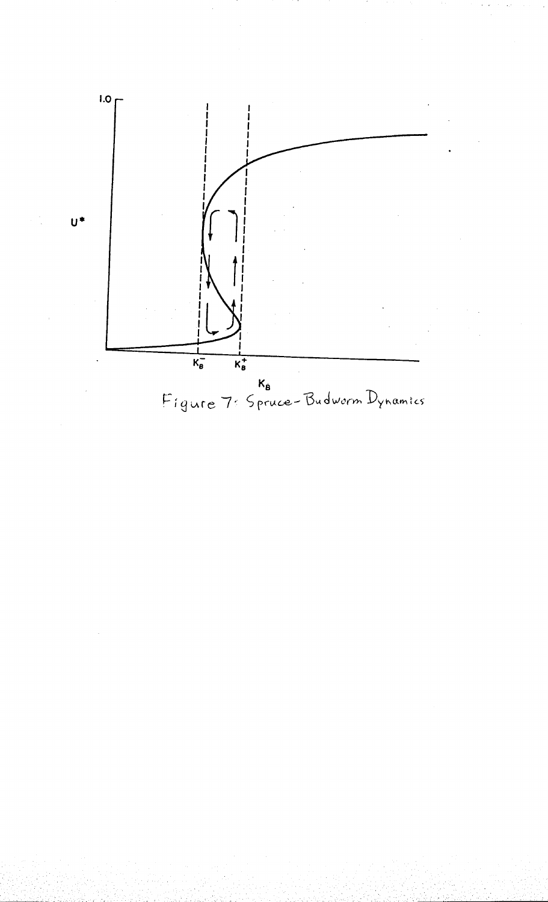